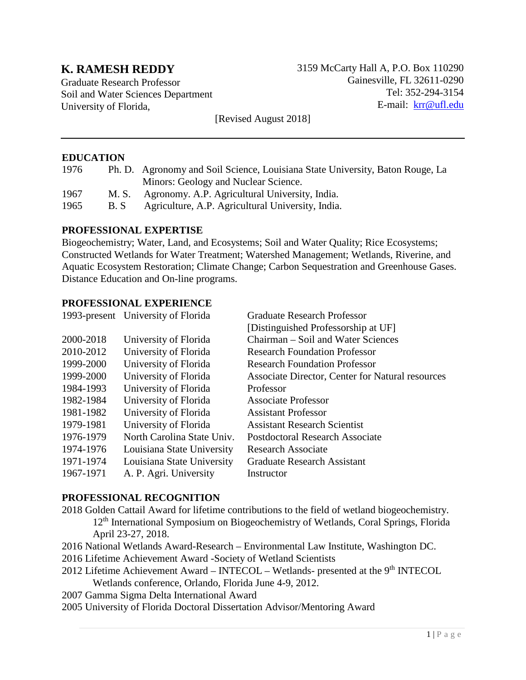# **K. RAMESH REDDY**

Graduate Research Professor Soil and Water Sciences Department University of Florida,

3159 McCarty Hall A, P.O. Box 110290 Gainesville, FL 32611-0290 Tel: 352-294-3154 E-mail: [krr@ufl.edu](mailto:krr@ufl.edu)

[Revised August 2018]

#### **EDUCATION**

| 1976 |       | Ph. D. Agronomy and Soil Science, Louisiana State University, Baton Rouge, La |
|------|-------|-------------------------------------------------------------------------------|
|      |       | Minors: Geology and Nuclear Science.                                          |
| 1967 | M. S. | Agronomy. A.P. Agricultural University, India.                                |
| 1965 | B.S   | Agriculture, A.P. Agricultural University, India.                             |

#### **PROFESSIONAL EXPERTISE**

Biogeochemistry; Water, Land, and Ecosystems; Soil and Water Quality; Rice Ecosystems; Constructed Wetlands for Water Treatment; Watershed Management; Wetlands, Riverine, and Aquatic Ecosystem Restoration; Climate Change; Carbon Sequestration and Greenhouse Gases. Distance Education and On-line programs.

#### **PROFESSIONAL EXPERIENCE**

|                            | <b>Graduate Research Professor</b>               |
|----------------------------|--------------------------------------------------|
|                            | [Distinguished Professorship at UF]              |
| University of Florida      | Chairman – Soil and Water Sciences               |
| University of Florida      | <b>Research Foundation Professor</b>             |
| University of Florida      | <b>Research Foundation Professor</b>             |
| University of Florida      | Associate Director, Center for Natural resources |
| University of Florida      | Professor                                        |
| University of Florida      | <b>Associate Professor</b>                       |
| University of Florida      | <b>Assistant Professor</b>                       |
| University of Florida      | <b>Assistant Research Scientist</b>              |
| North Carolina State Univ. | <b>Postdoctoral Research Associate</b>           |
| Louisiana State University | <b>Research Associate</b>                        |
| Louisiana State University | <b>Graduate Research Assistant</b>               |
| A. P. Agri. University     | Instructor                                       |
|                            | 1993-present University of Florida               |

#### **PROFESSIONAL RECOGNITION**

- 2018 Golden Cattail Award for lifetime contributions to the field of wetland biogeochemistry. 12th International Symposium on Biogeochemistry of Wetlands, Coral Springs, Florida April 23-27, 2018.
- 2016 National Wetlands Award-Research Environmental Law Institute, Washington DC.
- 2016 Lifetime Achievement Award -Society of Wetland Scientists
- 2012 Lifetime Achievement Award INTECOL Wetlands- presented at the 9<sup>th</sup> INTECOL Wetlands conference, Orlando, Florida June 4-9, 2012.
- 2007 Gamma Sigma Delta International Award
- 2005 University of Florida Doctoral Dissertation Advisor/Mentoring Award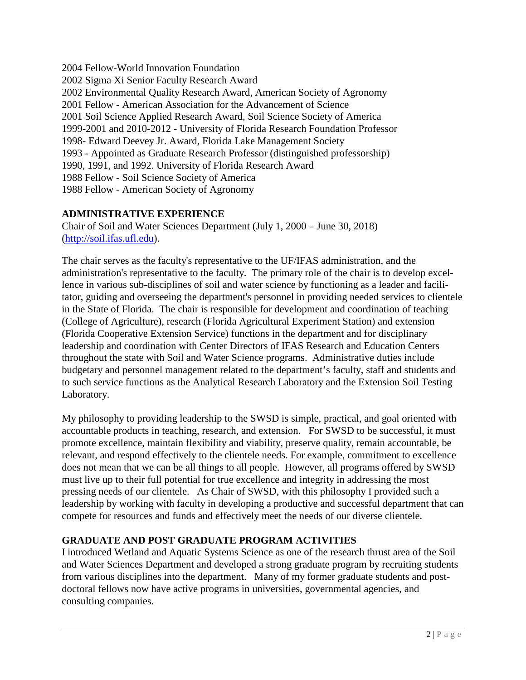2004 Fellow-World Innovation Foundation 2002 Sigma Xi Senior Faculty Research Award 2002 Environmental Quality Research Award, American Society of Agronomy 2001 Fellow - American Association for the Advancement of Science 2001 Soil Science Applied Research Award, Soil Science Society of America 1999-2001 and 2010-2012 - University of Florida Research Foundation Professor 1998- Edward Deevey Jr. Award, Florida Lake Management Society 1993 - Appointed as Graduate Research Professor (distinguished professorship) 1990, 1991, and 1992. University of Florida Research Award 1988 Fellow - Soil Science Society of America 1988 Fellow - American Society of Agronomy

## **ADMINISTRATIVE EXPERIENCE**

Chair of Soil and Water Sciences Department (July 1, 2000 – June 30, 2018) [\(http://soil.ifas.ufl.edu\)](http://soil.ifas.ufl.edu/).

The chair serves as the faculty's representative to the UF/IFAS administration, and the administration's representative to the faculty. The primary role of the chair is to develop excellence in various sub-disciplines of soil and water science by functioning as a leader and facilitator, guiding and overseeing the department's personnel in providing needed services to clientele in the State of Florida. The chair is responsible for development and coordination of teaching (College of Agriculture), research (Florida Agricultural Experiment Station) and extension (Florida Cooperative Extension Service) functions in the department and for disciplinary leadership and coordination with Center Directors of IFAS Research and Education Centers throughout the state with Soil and Water Science programs. Administrative duties include budgetary and personnel management related to the department's faculty, staff and students and to such service functions as the Analytical Research Laboratory and the Extension Soil Testing Laboratory.

My philosophy to providing leadership to the SWSD is simple, practical, and goal oriented with accountable products in teaching, research, and extension. For SWSD to be successful, it must promote excellence, maintain flexibility and viability, preserve quality, remain accountable, be relevant, and respond effectively to the clientele needs. For example, commitment to excellence does not mean that we can be all things to all people. However, all programs offered by SWSD must live up to their full potential for true excellence and integrity in addressing the most pressing needs of our clientele. As Chair of SWSD, with this philosophy I provided such a leadership by working with faculty in developing a productive and successful department that can compete for resources and funds and effectively meet the needs of our diverse clientele.

## **GRADUATE AND POST GRADUATE PROGRAM ACTIVITIES**

I introduced Wetland and Aquatic Systems Science as one of the research thrust area of the Soil and Water Sciences Department and developed a strong graduate program by recruiting students from various disciplines into the department. Many of my former graduate students and postdoctoral fellows now have active programs in universities, governmental agencies, and consulting companies.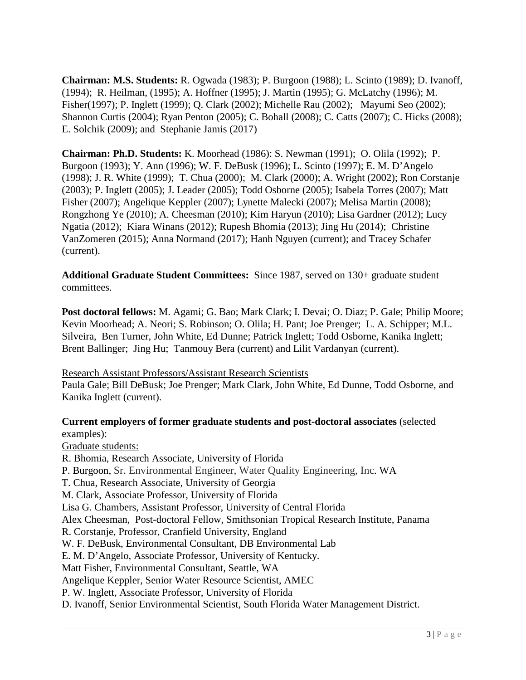**Chairman: M.S. Students:** R. Ogwada (1983); P. Burgoon (1988); L. Scinto (1989); D. Ivanoff, (1994); R. Heilman, (1995); A. Hoffner (1995); J. Martin (1995); G. McLatchy (1996); M. Fisher(1997); P. Inglett (1999); Q. Clark (2002); Michelle Rau (2002); Mayumi Seo (2002); Shannon Curtis (2004); Ryan Penton (2005); C. Bohall (2008); C. Catts (2007); C. Hicks (2008); E. Solchik (2009); and Stephanie Jamis (2017)

**Chairman: Ph.D. Students:** K. Moorhead (1986): S. Newman (1991); O. Olila (1992); P. Burgoon (1993); Y. Ann (1996); W. F. DeBusk (1996); L. Scinto (1997); E. M. D'Angelo (1998); J. R. White (1999); T. Chua (2000); M. Clark (2000); A. Wright (2002); Ron Corstanje (2003); P. Inglett (2005); J. Leader (2005); Todd Osborne (2005); Isabela Torres (2007); Matt Fisher (2007); Angelique Keppler (2007); Lynette Malecki (2007); Melisa Martin (2008); Rongzhong Ye (2010); A. Cheesman (2010); Kim Haryun (2010); Lisa Gardner (2012); Lucy Ngatia (2012); Kiara Winans (2012); Rupesh Bhomia (2013); Jing Hu (2014); Christine VanZomeren (2015); Anna Normand (2017); Hanh Nguyen (current); and Tracey Schafer (current).

**Additional Graduate Student Committees:** Since 1987, served on 130+ graduate student committees.

**Post doctoral fellows:** M. Agami; G. Bao; Mark Clark; I. Devai; O. Diaz; P. Gale; Philip Moore; Kevin Moorhead; A. Neori; S. Robinson; O. Olila; H. Pant; Joe Prenger; L. A. Schipper; M.L. Silveira, Ben Turner, John White, Ed Dunne; Patrick Inglett; Todd Osborne, Kanika Inglett; Brent Ballinger; Jing Hu; Tanmouy Bera (current) and Lilit Vardanyan (current).

Research Assistant Professors/Assistant Research Scientists

Paula Gale; Bill DeBusk; Joe Prenger; Mark Clark, John White, Ed Dunne, Todd Osborne, and Kanika Inglett (current).

#### **Current employers of former graduate students and post-doctoral associates** (selected examples):

Graduate students: R. Bhomia, Research Associate, University of Florida P. Burgoon, Sr. Environmental Engineer, Water Quality Engineering, Inc. WA T. Chua, Research Associate, University of Georgia M. Clark, Associate Professor, University of Florida Lisa G. Chambers, Assistant Professor, University of Central Florida Alex Cheesman, Post-doctoral Fellow, Smithsonian Tropical Research Institute, Panama R. Corstanje, Professor, Cranfield University, England W. F. DeBusk, Environmental Consultant, DB Environmental Lab E. M. D'Angelo, Associate Professor, University of Kentucky. Matt Fisher, Environmental Consultant, Seattle, WA Angelique Keppler, Senior Water Resource Scientist, AMEC P. W. Inglett, Associate Professor, University of Florida D. Ivanoff, Senior Environmental Scientist, South Florida Water Management District.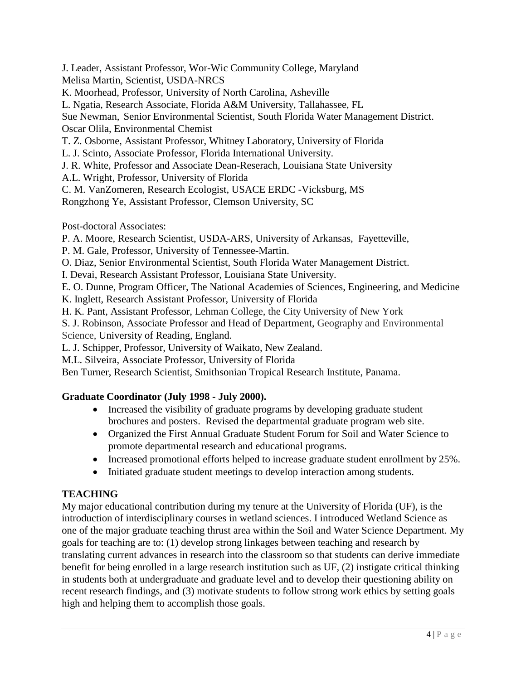J. Leader, Assistant Professor, Wor-Wic Community College, Maryland Melisa Martin, Scientist, USDA-NRCS

K. Moorhead, Professor, University of North Carolina, Asheville

L. Ngatia, Research Associate, Florida A&M University, Tallahassee, FL

Sue Newman, Senior Environmental Scientist, South Florida Water Management District. Oscar Olila, Environmental Chemist

T. Z. Osborne, Assistant Professor, Whitney Laboratory, University of Florida

L. J. Scinto, Associate Professor, Florida International University.

J. R. White, Professor and Associate Dean-Reserach, Louisiana State University

A.L. Wright, Professor, University of Florida

C. M. VanZomeren, Research Ecologist, USACE ERDC -Vicksburg, MS

Rongzhong Ye, Assistant Professor, Clemson University, SC

Post-doctoral Associates:

P. A. Moore, Research Scientist, USDA-ARS, University of Arkansas, Fayetteville,

P. M. Gale, Professor, University of Tennessee-Martin.

O. Diaz, Senior Environmental Scientist, South Florida Water Management District.

I. Devai, Research Assistant Professor, Louisiana State University.

E. O. Dunne, Program Officer, The National Academies of Sciences, Engineering, and Medicine

K. Inglett, Research Assistant Professor, University of Florida

H. K. Pant, Assistant Professor, Lehman College, the City University of New York

S. J. Robinson, Associate Professor and Head of Department, Geography and Environmental Science, University of Reading, England.

L. J. Schipper, Professor, University of Waikato, New Zealand.

M.L. Silveira, Associate Professor, University of Florida

Ben Turner, Research Scientist, Smithsonian Tropical Research Institute, Panama.

## **Graduate Coordinator (July 1998 - July 2000).**

- Increased the visibility of graduate programs by developing graduate student brochures and posters. Revised the departmental graduate program web site.
- Organized the First Annual Graduate Student Forum for Soil and Water Science to promote departmental research and educational programs.
- Increased promotional efforts helped to increase graduate student enrollment by 25%.
- Initiated graduate student meetings to develop interaction among students.

## **TEACHING**

My major educational contribution during my tenure at the University of Florida (UF), is the introduction of interdisciplinary courses in wetland sciences. I introduced Wetland Science as one of the major graduate teaching thrust area within the Soil and Water Science Department. My goals for teaching are to: (1) develop strong linkages between teaching and research by translating current advances in research into the classroom so that students can derive immediate benefit for being enrolled in a large research institution such as UF, (2) instigate critical thinking in students both at undergraduate and graduate level and to develop their questioning ability on recent research findings, and (3) motivate students to follow strong work ethics by setting goals high and helping them to accomplish those goals.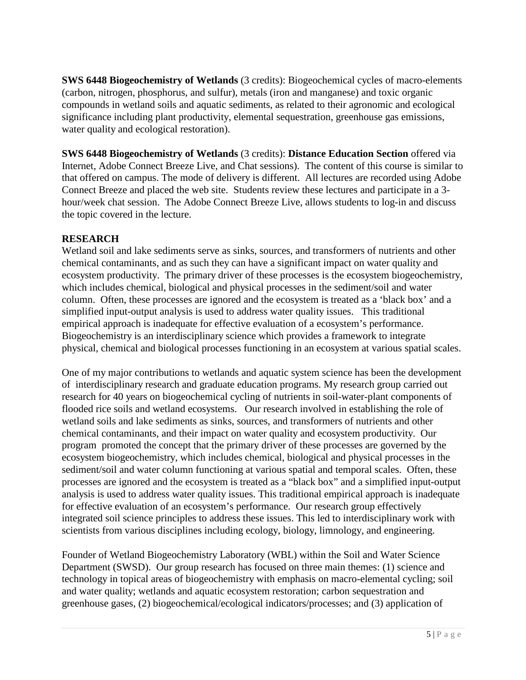**SWS 6448 Biogeochemistry of Wetlands** (3 credits): Biogeochemical cycles of macro-elements (carbon, nitrogen, phosphorus, and sulfur), metals (iron and manganese) and toxic organic compounds in wetland soils and aquatic sediments, as related to their agronomic and ecological significance including plant productivity, elemental sequestration, greenhouse gas emissions, water quality and ecological restoration).

**SWS 6448 Biogeochemistry of Wetlands** (3 credits): **Distance Education Section** offered via Internet, Adobe Connect Breeze Live, and Chat sessions). The content of this course is similar to that offered on campus. The mode of delivery is different. All lectures are recorded using Adobe Connect Breeze and placed the web site. Students review these lectures and participate in a 3 hour/week chat session. The Adobe Connect Breeze Live, allows students to log-in and discuss the topic covered in the lecture.

## **RESEARCH**

Wetland soil and lake sediments serve as sinks, sources, and transformers of nutrients and other chemical contaminants, and as such they can have a significant impact on water quality and ecosystem productivity. The primary driver of these processes is the ecosystem biogeochemistry, which includes chemical, biological and physical processes in the sediment/soil and water column. Often, these processes are ignored and the ecosystem is treated as a 'black box' and a simplified input-output analysis is used to address water quality issues. This traditional empirical approach is inadequate for effective evaluation of a ecosystem's performance. Biogeochemistry is an interdisciplinary science which provides a framework to integrate physical, chemical and biological processes functioning in an ecosystem at various spatial scales.

One of my major contributions to wetlands and aquatic system science has been the development of interdisciplinary research and graduate education programs. My research group carried out research for 40 years on biogeochemical cycling of nutrients in soil-water-plant components of flooded rice soils and wetland ecosystems. Our research involved in establishing the role of wetland soils and lake sediments as sinks, sources, and transformers of nutrients and other chemical contaminants, and their impact on water quality and ecosystem productivity. Our program promoted the concept that the primary driver of these processes are governed by the ecosystem biogeochemistry, which includes chemical, biological and physical processes in the sediment/soil and water column functioning at various spatial and temporal scales. Often, these processes are ignored and the ecosystem is treated as a "black box" and a simplified input-output analysis is used to address water quality issues. This traditional empirical approach is inadequate for effective evaluation of an ecosystem's performance. Our research group effectively integrated soil science principles to address these issues. This led to interdisciplinary work with scientists from various disciplines including ecology, biology, limnology, and engineering.

Founder of Wetland Biogeochemistry Laboratory (WBL) within the Soil and Water Science Department (SWSD). Our group research has focused on three main themes: (1) science and technology in topical areas of biogeochemistry with emphasis on macro-elemental cycling; soil and water quality; wetlands and aquatic ecosystem restoration; carbon sequestration and greenhouse gases, (2) biogeochemical/ecological indicators/processes; and (3) application of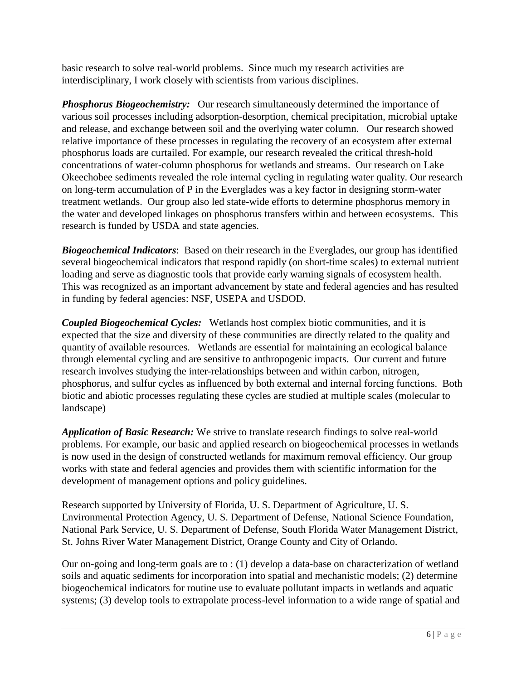basic research to solve real-world problems. Since much my research activities are interdisciplinary, I work closely with scientists from various disciplines.

*Phosphorus Biogeochemistry:* Our research simultaneously determined the importance of various soil processes including adsorption-desorption, chemical precipitation, microbial uptake and release, and exchange between soil and the overlying water column. Our research showed relative importance of these processes in regulating the recovery of an ecosystem after external phosphorus loads are curtailed. For example, our research revealed the critical thresh-hold concentrations of water-column phosphorus for wetlands and streams. Our research on Lake Okeechobee sediments revealed the role internal cycling in regulating water quality. Our research on long-term accumulation of P in the Everglades was a key factor in designing storm-water treatment wetlands. Our group also led state-wide efforts to determine phosphorus memory in the water and developed linkages on phosphorus transfers within and between ecosystems. This research is funded by USDA and state agencies.

*Biogeochemical Indicators*: Based on their research in the Everglades, our group has identified several biogeochemical indicators that respond rapidly (on short-time scales) to external nutrient loading and serve as diagnostic tools that provide early warning signals of ecosystem health. This was recognized as an important advancement by state and federal agencies and has resulted in funding by federal agencies: NSF, USEPA and USDOD.

*Coupled Biogeochemical Cycles:* Wetlands host complex biotic communities, and it is expected that the size and diversity of these communities are directly related to the quality and quantity of available resources. Wetlands are essential for maintaining an ecological balance through elemental cycling and are sensitive to anthropogenic impacts. Our current and future research involves studying the inter-relationships between and within carbon, nitrogen, phosphorus, and sulfur cycles as influenced by both external and internal forcing functions. Both biotic and abiotic processes regulating these cycles are studied at multiple scales (molecular to landscape)

*Application of Basic Research:* We strive to translate research findings to solve real-world problems. For example, our basic and applied research on biogeochemical processes in wetlands is now used in the design of constructed wetlands for maximum removal efficiency. Our group works with state and federal agencies and provides them with scientific information for the development of management options and policy guidelines.

Research supported by University of Florida, U. S. Department of Agriculture, U. S. Environmental Protection Agency, U. S. Department of Defense, National Science Foundation, National Park Service, U. S. Department of Defense, South Florida Water Management District, St. Johns River Water Management District, Orange County and City of Orlando.

Our on-going and long-term goals are to : (1) develop a data-base on characterization of wetland soils and aquatic sediments for incorporation into spatial and mechanistic models; (2) determine biogeochemical indicators for routine use to evaluate pollutant impacts in wetlands and aquatic systems; (3) develop tools to extrapolate process-level information to a wide range of spatial and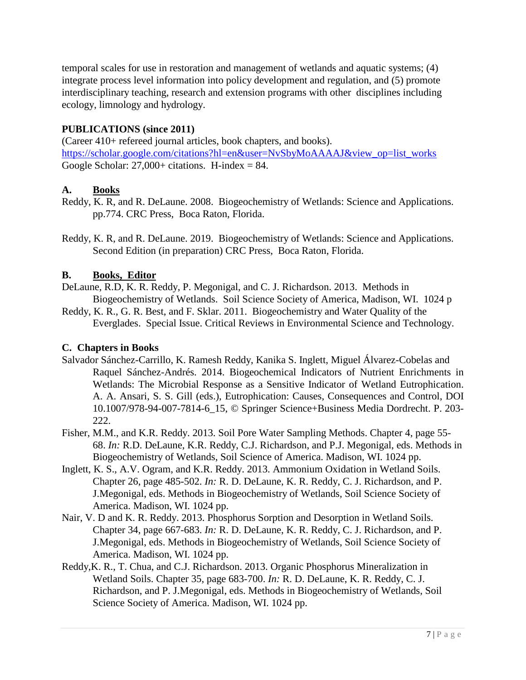temporal scales for use in restoration and management of wetlands and aquatic systems; (4) integrate process level information into policy development and regulation, and (5) promote interdisciplinary teaching, research and extension programs with other disciplines including ecology, limnology and hydrology.

## **PUBLICATIONS (since 2011)**

(Career 410+ refereed journal articles, book chapters, and books). [https://scholar.google.com/citations?hl=en&user=NvSbyMoAAAAJ&view\\_op=list\\_works](https://scholar.google.com/citations?hl=en&user=NvSbyMoAAAAJ&view_op=list_works) Google Scholar:  $27,000+$  citations. H-index = 84.

#### **A. Books**

- Reddy, K. R, and R. DeLaune. 2008. Biogeochemistry of Wetlands: Science and Applications. pp.774. CRC Press, Boca Raton, Florida.
- Reddy, K. R, and R. DeLaune. 2019. Biogeochemistry of Wetlands: Science and Applications. Second Edition (in preparation) CRC Press, Boca Raton, Florida.

#### **B. Books, Editor**

- DeLaune, R.D, K. R. Reddy, P. Megonigal, and C. J. Richardson. 2013. Methods in Biogeochemistry of Wetlands. Soil Science Society of America, Madison, WI. 1024 p
- Reddy, K. R., G. R. Best, and F. Sklar. 2011. Biogeochemistry and Water Quality of the Everglades. Special Issue. Critical Reviews in Environmental Science and Technology.

#### **C. Chapters in Books**

- Salvador Sánchez-Carrillo, K. Ramesh Reddy, Kanika S. Inglett, Miguel Álvarez-Cobelas and Raquel Sánchez-Andrés. 2014. Biogeochemical Indicators of Nutrient Enrichments in Wetlands: The Microbial Response as a Sensitive Indicator of Wetland Eutrophication. A. A. Ansari, S. S. Gill (eds.), Eutrophication: Causes, Consequences and Control, DOI 10.1007/978-94-007-7814-6\_15, © Springer Science+Business Media Dordrecht. P. 203- 222.
- Fisher, M.M., and K.R. Reddy. 2013. Soil Pore Water Sampling Methods. Chapter 4, page 55- 68. *In:* R.D. DeLaune, K.R. Reddy, C.J. Richardson, and P.J. Megonigal, eds. Methods in Biogeochemistry of Wetlands, Soil Science of America. Madison, WI. 1024 pp.
- Inglett, K. S., A.V. Ogram, and K.R. Reddy. 2013. Ammonium Oxidation in Wetland Soils. Chapter 26, page 485-502. *In:* R. D. DeLaune, K. R. Reddy, C. J. Richardson, and P. J.Megonigal, eds. Methods in Biogeochemistry of Wetlands, Soil Science Society of America. Madison, WI. 1024 pp.
- Nair, V. D and K. R. Reddy. 2013. Phosphorus Sorption and Desorption in Wetland Soils. Chapter 34, page 667-683. *In:* R. D. DeLaune, K. R. Reddy, C. J. Richardson, and P. J.Megonigal, eds. Methods in Biogeochemistry of Wetlands, Soil Science Society of America. Madison, WI. 1024 pp.
- Reddy,K. R., T. Chua, and C.J. Richardson. 2013. Organic Phosphorus Mineralization in Wetland Soils. Chapter 35, page 683-700. *In:* R. D. DeLaune, K. R. Reddy, C. J. Richardson, and P. J.Megonigal, eds. Methods in Biogeochemistry of Wetlands, Soil Science Society of America. Madison, WI. 1024 pp.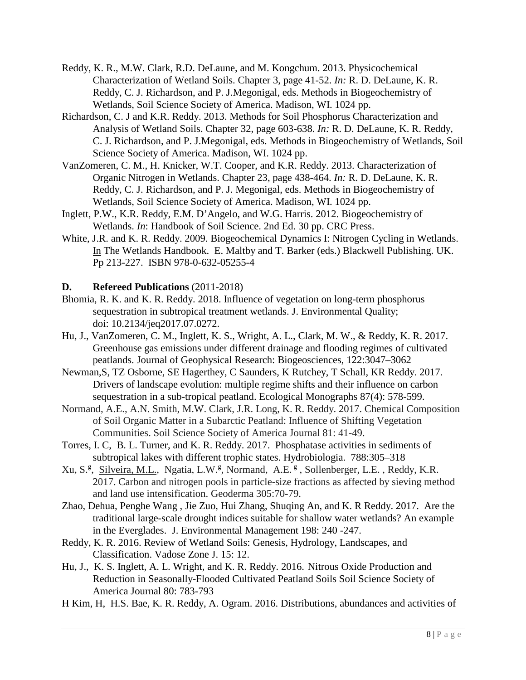- Reddy, K. R., M.W. Clark, R.D. DeLaune, and M. Kongchum. 2013. Physicochemical Characterization of Wetland Soils. Chapter 3, page 41-52. *In:* R. D. DeLaune, K. R. Reddy, C. J. Richardson, and P. J.Megonigal, eds. Methods in Biogeochemistry of Wetlands, Soil Science Society of America. Madison, WI. 1024 pp.
- Richardson, C. J and K.R. Reddy. 2013. Methods for Soil Phosphorus Characterization and Analysis of Wetland Soils. Chapter 32, page 603-638. *In:* R. D. DeLaune, K. R. Reddy, C. J. Richardson, and P. J.Megonigal, eds. Methods in Biogeochemistry of Wetlands, Soil Science Society of America. Madison, WI. 1024 pp.
- VanZomeren, C. M., H. Knicker, W.T. Cooper, and K.R. Reddy. 2013. Characterization of Organic Nitrogen in Wetlands. Chapter 23, page 438-464. *In:* R. D. DeLaune, K. R. Reddy, C. J. Richardson, and P. J. Megonigal, eds. Methods in Biogeochemistry of Wetlands, Soil Science Society of America. Madison, WI. 1024 pp.
- Inglett, P.W., K.R. Reddy, E.M. D'Angelo, and W.G. Harris. 2012. Biogeochemistry of Wetlands. *In*: Handbook of Soil Science. 2nd Ed. 30 pp. CRC Press.
- White, J.R. and K. R. Reddy. 2009. Biogeochemical Dynamics I: Nitrogen Cycling in Wetlands. In The Wetlands Handbook. E. Maltby and T. Barker (eds.) Blackwell Publishing. UK. Pp 213-227. ISBN 978-0-632-05255-4

#### **D. Refereed Publications** (2011-2018)

- Bhomia, R. K. and K. R. Reddy. 2018. Influence of vegetation on long-term phosphorus sequestration in subtropical treatment wetlands. J. Environmental Quality; doi: 10.2134/jeq2017.07.0272.
- Hu, J., VanZomeren, C. M., Inglett, K. S., Wright, A. L., Clark, M. W., & Reddy, K. R. 2017. Greenhouse gas emissions under different drainage and flooding regimes of cultivated peatlands. Journal of Geophysical Research: Biogeosciences, 122:3047–3062
- Newman,S, TZ Osborne, SE Hagerthey, C Saunders, K Rutchey, T Schall, KR Reddy. 2017. Drivers of landscape evolution: multiple regime shifts and their influence on carbon sequestration in a sub-tropical peatland. Ecological Monographs 87(4): 578-599.
- Normand, A.E., A.N. Smith, M.W. Clark, J.R. Long, K. R. Reddy. 2017. Chemical Composition of Soil Organic Matter in a Subarctic Peatland: Influence of Shifting Vegetation Communities. Soil Science Society of America Journal 81: 41-49.
- Torres, I. C, B. L. Turner, and K. R. Reddy. 2017. Phosphatase activities in sediments of subtropical lakes with different trophic states. Hydrobiologia. 788:305–318
- Xu, S.<sup>g</sup>, Silveira, M.L., Ngatia, L.W.<sup>g</sup>, Normand, A.E.<sup>g</sup>, Sollenberger, L.E., Reddy, K.R. 2017. Carbon and nitrogen pools in particle-size fractions as affected by sieving method and land use intensification. Geoderma 305:70-79.
- Zhao, Dehua, Penghe Wang , Jie Zuo, Hui Zhang, Shuqing An, and K. R Reddy. 2017. Are the traditional large-scale drought indices suitable for shallow water wetlands? An example in the Everglades. J. Environmental Management 198: 240 -247.
- Reddy, K. R. 2016. Review of Wetland Soils: Genesis, Hydrology, Landscapes, and Classification. Vadose Zone J. 15: 12.
- Hu, J., K. S. Inglett, A. L. Wright, and K. R. Reddy. 2016. Nitrous Oxide Production and Reduction in Seasonally-Flooded Cultivated Peatland Soils [Soil Science Society of](https://www.researchgate.net/journal/0361-5995_Soil_Science_Society_of_America_Journal)  [America Journal](https://www.researchgate.net/journal/0361-5995_Soil_Science_Society_of_America_Journal) 80: 783-793
- H Kim, H, H.S. Bae, K. R. Reddy, A. Ogram. 2016. Distributions, abundances and activities of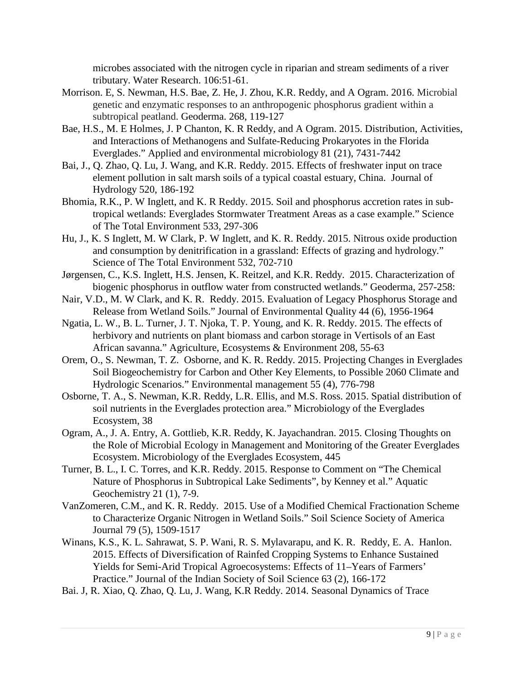microbes associated with the nitrogen cycle in riparian and stream sediments of a river tributary. Water Research. 106:51-61.

- Morrison. E, S. Newman, H.S. Bae, Z. He, J. Zhou, K.R. Reddy, and A Ogram. 2016. Microbial genetic and enzymatic responses to an anthropogenic phosphorus gradient within a subtropical peatland. Geoderma. 268, 119-127
- Bae, H.S., M. E Holmes, J. P Chanton, K. R Reddy, and A Ogram. 2015. Distribution, Activities, and Interactions of Methanogens and Sulfate-Reducing Prokaryotes in the Florida Everglades." Applied and environmental microbiology 81 (21), 7431-7442
- Bai, J., Q. Zhao, Q. Lu, J. Wang, and K.R. Reddy. 2015. Effects of freshwater input on trace element pollution in salt marsh soils of a typical coastal estuary, China. Journal of Hydrology 520, 186-192
- Bhomia, R.K., P. W Inglett, and K. R Reddy. 2015. Soil and phosphorus accretion rates in subtropical wetlands: Everglades Stormwater Treatment Areas as a case example." Science of The Total Environment 533, 297-306
- Hu, J., K. S Inglett, M. W Clark, P. W Inglett, and K. R. Reddy. 2015. Nitrous oxide production and consumption by denitrification in a grassland: Effects of grazing and hydrology." Science of The Total Environment 532, 702-710
- Jørgensen, C., K.S. Inglett, H.S. Jensen, K. Reitzel, and K.R. Reddy. 2015. Characterization of biogenic phosphorus in outflow water from constructed wetlands." Geoderma, 257-258:
- Nair, V.D., M. W Clark, and K. R. Reddy. 2015. Evaluation of Legacy Phosphorus Storage and Release from Wetland Soils." Journal of Environmental Quality 44 (6), 1956-1964
- Ngatia, L. W., B. L. Turner, J. T. Njoka, T. P. Young, and K. R. Reddy. 2015. The effects of herbivory and nutrients on plant biomass and carbon storage in Vertisols of an East African savanna." Agriculture, Ecosystems & Environment 208, 55-63
- Orem, O., S. Newman, T. Z. Osborne, and K. R. Reddy. 2015. Projecting Changes in Everglades Soil Biogeochemistry for Carbon and Other Key Elements, to Possible 2060 Climate and Hydrologic Scenarios." Environmental management 55 (4), 776-798
- Osborne, T. A., S. Newman, K.R. Reddy, L.R. Ellis, and M.S. Ross. 2015. Spatial distribution of soil nutrients in the Everglades protection area." Microbiology of the Everglades Ecosystem, 38
- Ogram, A., J. A. Entry, A. Gottlieb, K.R. Reddy, K. Jayachandran. 2015. Closing Thoughts on the Role of Microbial Ecology in Management and Monitoring of the Greater Everglades Ecosystem. Microbiology of the Everglades Ecosystem, 445
- Turner, B. L., I. C. Torres, and K.R. Reddy. 2015. Response to Comment on "The Chemical Nature of Phosphorus in Subtropical Lake Sediments", by Kenney et al." Aquatic Geochemistry 21 (1), 7-9.
- VanZomeren, C.M., and K. R. Reddy. 2015. Use of a Modified Chemical Fractionation Scheme to Characterize Organic Nitrogen in Wetland Soils." Soil Science Society of America Journal 79 (5), 1509-1517
- Winans, K.S., K. L. Sahrawat, S. P. Wani, R. S. Mylavarapu, and K. R. Reddy, E. A. Hanlon. 2015. Effects of Diversification of Rainfed Cropping Systems to Enhance Sustained Yields for Semi-Arid Tropical Agroecosystems: Effects of 11–Years of Farmers' Practice." Journal of the Indian Society of Soil Science 63 (2), 166-172
- Bai. J, R. Xiao, Q. Zhao, Q. Lu, J. Wang, K.R Reddy. 2014. Seasonal Dynamics of Trace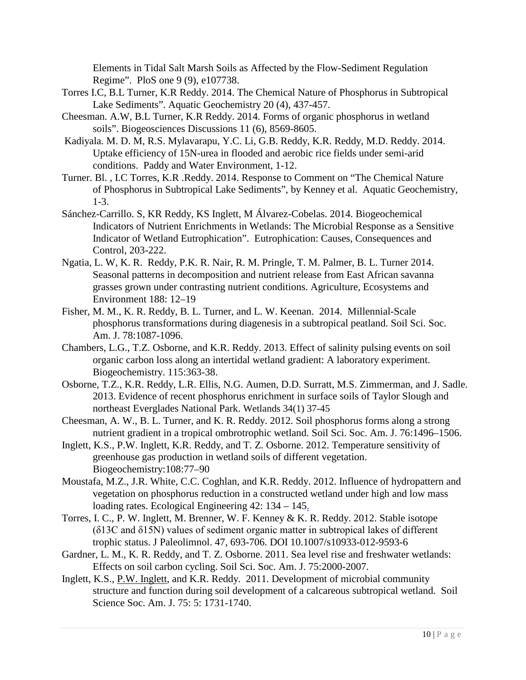Elements in Tidal Salt Marsh Soils as Affected by the Flow-Sediment Regulation Regime". PloS one 9 (9), e107738.

- Torres I.C, B.L Turner, K.R Reddy. 2014. The Chemical Nature of Phosphorus in Subtropical Lake Sediments". Aquatic Geochemistry 20 (4), 437-457.
- Cheesman. A.W, B.L Turner, K.R Reddy. 2014. Forms of organic phosphorus in wetland soils". Biogeosciences Discussions 11 (6), 8569-8605.
- Kadiyala. M. D. M, R.S. Mylavarapu, Y.C. Li, G.B. Reddy, K.R. Reddy, M.D. Reddy. 2014. Uptake efficiency of 15N-urea in flooded and aerobic rice fields under semi-arid conditions. Paddy and Water Environment, 1-12.
- Turner. Bl. , I.C Torres, K.R .Reddy. 2014. Response to Comment on "The Chemical Nature of Phosphorus in Subtropical Lake Sediments", by Kenney et al. Aquatic Geochemistry, 1-3.
- Sánchez-Carrillo. S, KR Reddy, KS Inglett, M Álvarez-Cobelas. 2014. Biogeochemical Indicators of Nutrient Enrichments in Wetlands: The Microbial Response as a Sensitive Indicator of Wetland Eutrophication". Eutrophication: Causes, Consequences and Control, 203-222.
- Ngatia, L. W, K. R. Reddy, P.K. R. Nair, R. M. Pringle, T. M. Palmer, B. L. Turner 2014. Seasonal patterns in decomposition and nutrient release from East African savanna grasses grown under contrasting nutrient conditions. Agriculture, Ecosystems and Environment 188: 12–19
- Fisher, M. M., K. R. Reddy, B. L. Turner, and L. W. Keenan. 2014. Millennial-Scale phosphorus transformations during diagenesis in a subtropical peatland. Soil Sci. Soc. Am. J. 78:1087-1096.
- Chambers, L.G., T.Z. Osborne, and K.R. Reddy. 2013. Effect of salinity pulsing events on soil organic carbon loss along an intertidal wetland gradient: A laboratory experiment. Biogeochemistry. 115:363-38.
- Osborne, T.Z., K.R. Reddy, L.R. Ellis, N.G. Aumen, D.D. Surratt, M.S. Zimmerman, and J. Sadle. 2013. Evidence of recent phosphorus enrichment in surface soils of Taylor Slough and northeast Everglades National Park. Wetlands 34(1) 37-45
- Cheesman, A. W., B. L. Turner, and K. R. Reddy. 2012. Soil phosphorus forms along a strong nutrient gradient in a tropical ombrotrophic wetland. Soil Sci. Soc. Am. J. 76:1496–1506.
- Inglett, K.S., P.W. Inglett, K.R. Reddy, and T. Z. Osborne. 2012. Temperature sensitivity of greenhouse gas production in wetland soils of different vegetation. Biogeochemistry:108:77–90
- Moustafa, M.Z., J.R. White, C.C. Coghlan, and K.R. Reddy. 2012. Influence of hydropattern and vegetation on phosphorus reduction in a constructed wetland under high and low mass loading rates. Ecological Engineering 42: 134 – 14[5.](http://soils.ifas.ufl.edu/wetlands/publications/PDF-articles/382.Influence%20of%20hydropattern%20and%20vegetation%20on%20phosphorus%20reduction.pdf)
- Torres, I. C., P. W. Inglett, M. Brenner, W. F. Kenney & K. R. Reddy. 2012. Stable isotope (δ13C and δ15N) values of sediment organic matter in subtropical lakes of different trophic status. J Paleolimnol. 47, 693-706. DOI 10.1007/s10933-012-9593-6
- Gardner, L. M., K. R. Reddy, and T. Z. Osborne. 2011. Sea level rise and freshwater wetlands: Effects on soil carbon cycling. Soil Sci. Soc. Am. J. 75:2000-2007.
- Inglett, K.S., P.W. Inglett, and K.R. Reddy. 2011. Development of microbial community structure and function during soil development of a calcareous subtropical wetland. Soil Science Soc. Am. J. 75: 5: 1731-1740.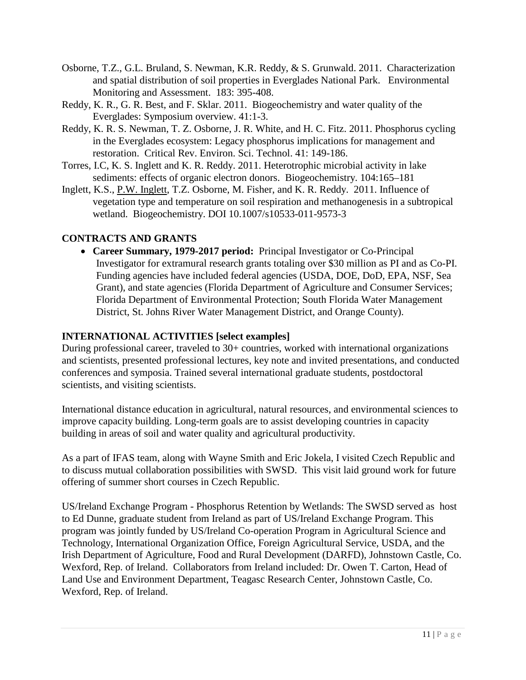- Osborne, T.Z., G.L. Bruland, S. Newman, K.R. Reddy, & S. Grunwald. 2011. Characterization and spatial distribution of soil properties in Everglades National Park. Environmental Monitoring and Assessment. 183: 395-408.
- Reddy, K. R., G. R. Best, and F. Sklar. 2011. Biogeochemistry and water quality of the Everglades: Symposium overview. 41:1-3.
- Reddy, K. R. S. Newman, T. Z. Osborne, J. R. White, and H. C. Fitz. 2011. Phosphorus cycling in the Everglades ecosystem: Legacy phosphorus implications for management and restoration. Critical Rev. Environ. Sci. Technol. 41: 149-186.
- Torres, I.C, K. S. Inglett and K. R. Reddy. 2011. Heterotrophic microbial activity in lake sediments: effects of organic electron donors. Biogeochemistry. 104:165–181
- Inglett, K.S., P.W. Inglett, T.Z. Osborne, M. Fisher, and K. R. Reddy. 2011. Influence of vegetation type and temperature on soil respiration and methanogenesis in a subtropical wetland. Biogeochemistry. DOI 10.1007/s10533-011-9573-3

## **CONTRACTS AND GRANTS**

• **Career Summary, 1979-2017 period:** Principal Investigator or Co-Principal Investigator for extramural research grants totaling over \$30 million as PI and as Co-PI. Funding agencies have included federal agencies (USDA, DOE, DoD, EPA, NSF, Sea Grant), and state agencies (Florida Department of Agriculture and Consumer Services; Florida Department of Environmental Protection; South Florida Water Management District, St. Johns River Water Management District, and Orange County).

## **INTERNATIONAL ACTIVITIES [select examples]**

During professional career, traveled to 30+ countries, worked with international organizations and scientists, presented professional lectures, key note and invited presentations, and conducted conferences and symposia. Trained several international graduate students, postdoctoral scientists, and visiting scientists.

International distance education in agricultural, natural resources, and environmental sciences to improve capacity building. Long-term goals are to assist developing countries in capacity building in areas of soil and water quality and agricultural productivity.

As a part of IFAS team, along with Wayne Smith and Eric Jokela, I visited Czech Republic and to discuss mutual collaboration possibilities with SWSD. This visit laid ground work for future offering of summer short courses in Czech Republic.

US/Ireland Exchange Program - Phosphorus Retention by Wetlands: The SWSD served as host to Ed Dunne, graduate student from Ireland as part of US/Ireland Exchange Program. This program was jointly funded by US/Ireland Co-operation Program in Agricultural Science and Technology, International Organization Office, Foreign Agricultural Service, USDA, and the Irish Department of Agriculture, Food and Rural Development (DARFD), Johnstown Castle, Co. Wexford, Rep. of Ireland. Collaborators from Ireland included: Dr. Owen T. Carton, Head of Land Use and Environment Department, Teagasc Research Center, Johnstown Castle, Co. Wexford, Rep. of Ireland.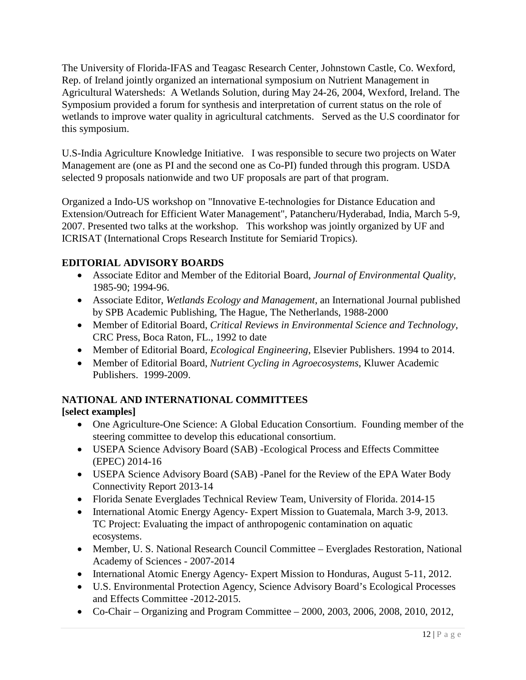The University of Florida-IFAS and Teagasc Research Center, Johnstown Castle, Co. Wexford, Rep. of Ireland jointly organized an international symposium on Nutrient Management in Agricultural Watersheds: A Wetlands Solution, during May 24-26, 2004, Wexford, Ireland. The Symposium provided a forum for synthesis and interpretation of current status on the role of wetlands to improve water quality in agricultural catchments. Served as the U.S coordinator for this symposium.

U.S-India Agriculture Knowledge Initiative. I was responsible to secure two projects on Water Management are (one as PI and the second one as Co-PI) funded through this program. USDA selected 9 proposals nationwide and two UF proposals are part of that program.

Organized a Indo-US workshop on "Innovative E-technologies for Distance Education and Extension/Outreach for Efficient Water Management", Patancheru/Hyderabad, India, March 5-9, 2007. Presented two talks at the workshop. This workshop was jointly organized by UF and ICRISAT (International Crops Research Institute for Semiarid Tropics).

## **EDITORIAL ADVISORY BOARDS**

- Associate Editor and Member of the Editorial Board, *Journal of Environmental Quality*, 1985-90; 1994-96.
- Associate Editor, *Wetlands Ecology and Management*, an International Journal published by SPB Academic Publishing, The Hague, The Netherlands, 1988-2000
- Member of Editorial Board, *Critical Reviews in Environmental Science and Technology*, CRC Press, Boca Raton, FL., 1992 to date
- Member of Editorial Board, *Ecological Engineering*, Elsevier Publishers. 1994 to 2014.
- Member of Editorial Board, *Nutrient Cycling in Agroecosystems*, Kluwer Academic Publishers. 1999-2009.

## **NATIONAL AND INTERNATIONAL COMMITTEES**

## **[select examples]**

- One Agriculture-One Science: A Global Education Consortium. Founding member of the steering committee to develop this educational consortium.
- USEPA Science Advisory Board (SAB) -Ecological Process and Effects Committee (EPEC) 2014-16
- USEPA Science Advisory Board (SAB) -Panel for the Review of the EPA Water Body Connectivity Report 2013-14
- Florida Senate Everglades Technical Review Team, University of Florida. 2014-15
- International Atomic Energy Agency- Expert Mission to Guatemala, March 3-9, 2013. TC Project: Evaluating the impact of anthropogenic contamination on aquatic ecosystems.
- Member, U. S. National Research Council Committee Everglades Restoration, National Academy of Sciences - 2007-2014
- International Atomic Energy Agency- Expert Mission to Honduras, August 5-11, 2012.
- U.S. Environmental Protection Agency, Science Advisory Board's Ecological Processes and Effects Committee -2012-2015.
- Co-Chair Organizing and Program Committee 2000, 2003, 2006, 2008, 2010, 2012,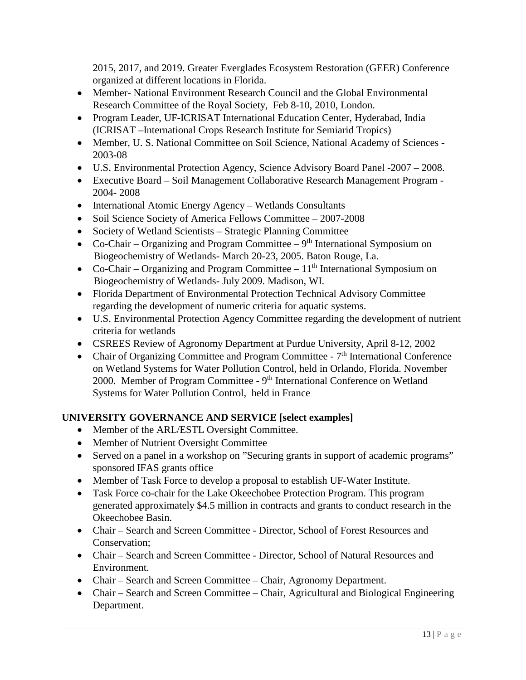2015, 2017, and 2019. Greater Everglades Ecosystem Restoration (GEER) Conference organized at different locations in Florida.

- Member- National Environment Research Council and the Global Environmental Research Committee of the Royal Society, Feb 8-10, 2010, London.
- Program Leader, UF-ICRISAT International Education Center, Hyderabad, India (ICRISAT –International Crops Research Institute for Semiarid Tropics)
- Member, U. S. National Committee on Soil Science, National Academy of Sciences 2003-08
- U.S. Environmental Protection Agency, Science Advisory Board Panel -2007 2008.
- Executive Board Soil Management Collaborative Research Management Program 2004- 2008
- International Atomic Energy Agency Wetlands Consultants
- Soil Science Society of America Fellows Committee 2007-2008
- Society of Wetland Scientists Strategic Planning Committee
- Co-Chair Organizing and Program Committee  $9<sup>th</sup>$  International Symposium on Biogeochemistry of Wetlands- March 20-23, 2005. Baton Rouge, La.
- Co-Chair Organizing and Program Committee  $11<sup>th</sup>$  International Symposium on Biogeochemistry of Wetlands- July 2009. Madison, WI.
- Florida Department of Environmental Protection Technical Advisory Committee regarding the development of numeric criteria for aquatic systems.
- U.S. Environmental Protection Agency Committee regarding the development of nutrient criteria for wetlands
- CSREES Review of Agronomy Department at Purdue University, April 8-12, 2002
- Chair of Organizing Committee and Program Committee  $7<sup>th</sup>$  International Conference on Wetland Systems for Water Pollution Control, held in Orlando, Florida. November 2000. Member of Program Committee -  $9<sup>th</sup>$  International Conference on Wetland Systems for Water Pollution Control, held in France

## **UNIVERSITY GOVERNANCE AND SERVICE [select examples]**

- Member of the ARL/ESTL Oversight Committee.
- Member of Nutrient Oversight Committee
- Served on a panel in a workshop on "Securing grants in support of academic programs" sponsored IFAS grants office
- Member of Task Force to develop a proposal to establish UF-Water Institute.
- Task Force co-chair for the Lake Okeechobee Protection Program. This program generated approximately \$4.5 million in contracts and grants to conduct research in the Okeechobee Basin.
- Chair Search and Screen Committee Director, School of Forest Resources and Conservation;
- Chair Search and Screen Committee Director, School of Natural Resources and Environment.
- Chair Search and Screen Committee Chair, Agronomy Department.
- Chair Search and Screen Committee Chair, Agricultural and Biological Engineering Department.